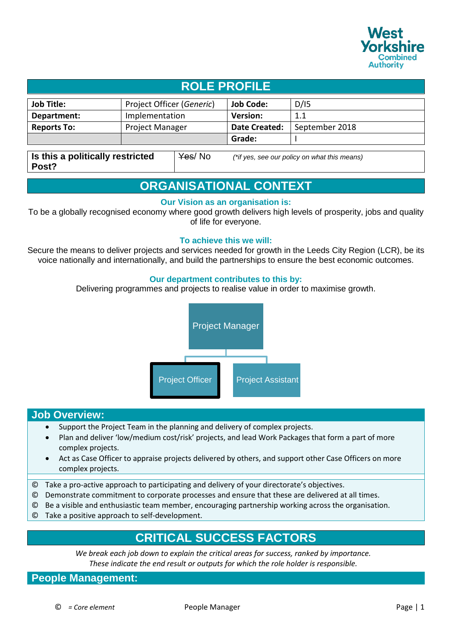

# **ROLE PROFILE**

| <b>Job Title:</b>  | Project Officer (Generic) | <b>Job Code:</b> | D/15           |
|--------------------|---------------------------|------------------|----------------|
| Department:        | Implementation            | <b>Version:</b>  |                |
| <b>Reports To:</b> | <b>Project Manager</b>    | Date Created:    | September 2018 |
|                    |                           | Grade:           |                |
|                    |                           |                  |                |

**Is this a politically restricted Post?** Yes/ No *(\*if yes, see our policy on what this means)*

## **ORGANISATIONAL CONTEXT**

#### **Our Vision as an organisation is:**

To be a globally recognised economy where good growth delivers high levels of prosperity, jobs and quality of life for everyone.

#### **To achieve this we will:**

Secure the means to deliver projects and services needed for growth in the Leeds City Region (LCR), be its voice nationally and internationally, and build the partnerships to ensure the best economic outcomes.

#### **Our department contributes to this by:**

Delivering programmes and projects to realise value in order to maximise growth.



## **Job Overview:**

- Support the Project Team in the planning and delivery of complex projects.
- Plan and deliver 'low/medium cost/risk' projects, and lead Work Packages that form a part of more complex projects.
- Act as Case Officer to appraise projects delivered by others, and support other Case Officers on more complex projects.
- © Take a pro-active approach to participating and delivery of your directorate's objectives.
- © Demonstrate commitment to corporate processes and ensure that these are delivered at all times.
- © Be a visible and enthusiastic team member, encouraging partnership working across the organisation.
- © Take a positive approach to self-development.

## **CRITICAL SUCCESS FACTORS**

*We break each job down to explain the critical areas for success, ranked by importance. These indicate the end result or outputs for which the role holder is responsible.*

**People Management:**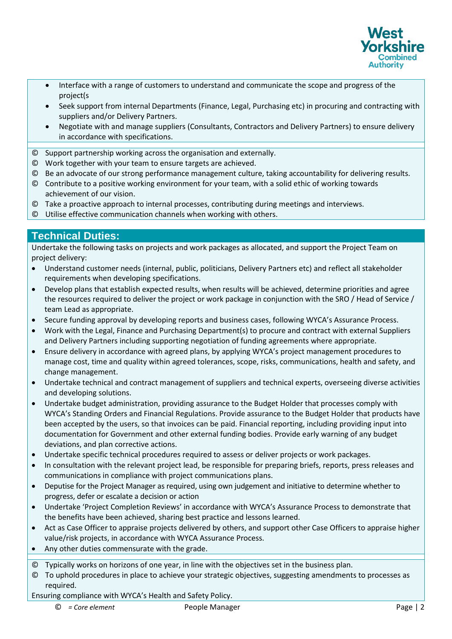

- Interface with a range of customers to understand and communicate the scope and progress of the project(s
- Seek support from internal Departments (Finance, Legal, Purchasing etc) in procuring and contracting with suppliers and/or Delivery Partners.
- Negotiate with and manage suppliers (Consultants, Contractors and Delivery Partners) to ensure delivery in accordance with specifications.
- © Support partnership working across the organisation and externally.
- © Work together with your team to ensure targets are achieved.
- © Be an advocate of our strong performance management culture, taking accountability for delivering results.
- © Contribute to a positive working environment for your team, with a solid ethic of working towards achievement of our vision.
- © Take a proactive approach to internal processes, contributing during meetings and interviews.
- © Utilise effective communication channels when working with others.

## **Technical Duties:**

Undertake the following tasks on projects and work packages as allocated, and support the Project Team on project delivery:

- Understand customer needs (internal, public, politicians, Delivery Partners etc) and reflect all stakeholder requirements when developing specifications.
- Develop plans that establish expected results, when results will be achieved, determine priorities and agree the resources required to deliver the project or work package in conjunction with the SRO / Head of Service / team Lead as appropriate.
- Secure funding approval by developing reports and business cases, following WYCA's Assurance Process.
- Work with the Legal, Finance and Purchasing Department(s) to procure and contract with external Suppliers and Delivery Partners including supporting negotiation of funding agreements where appropriate.
- Ensure delivery in accordance with agreed plans, by applying WYCA's project management procedures to manage cost, time and quality within agreed tolerances, scope, risks, communications, health and safety, and change management.
- Undertake technical and contract management of suppliers and technical experts, overseeing diverse activities and developing solutions.
- Undertake budget administration, providing assurance to the Budget Holder that processes comply with WYCA's Standing Orders and Financial Regulations. Provide assurance to the Budget Holder that products have been accepted by the users, so that invoices can be paid. Financial reporting, including providing input into documentation for Government and other external funding bodies. Provide early warning of any budget deviations, and plan corrective actions.
- Undertake specific technical procedures required to assess or deliver projects or work packages.
- In consultation with the relevant project lead, be responsible for preparing briefs, reports, press releases and communications in compliance with project communications plans.
- Deputise for the Project Manager as required, using own judgement and initiative to determine whether to progress, defer or escalate a decision or action
- Undertake 'Project Completion Reviews' in accordance with WYCA's Assurance Process to demonstrate that the benefits have been achieved, sharing best practice and lessons learned.
- Act as Case Officer to appraise projects delivered by others, and support other Case Officers to appraise higher value/risk projects, in accordance with WYCA Assurance Process.
- Any other duties commensurate with the grade.
- © Typically works on horizons of one year, in line with the objectives set in the business plan.
- © To uphold procedures in place to achieve your strategic objectives, suggesting amendments to processes as required.

Ensuring compliance with WYCA's Health and Safety Policy.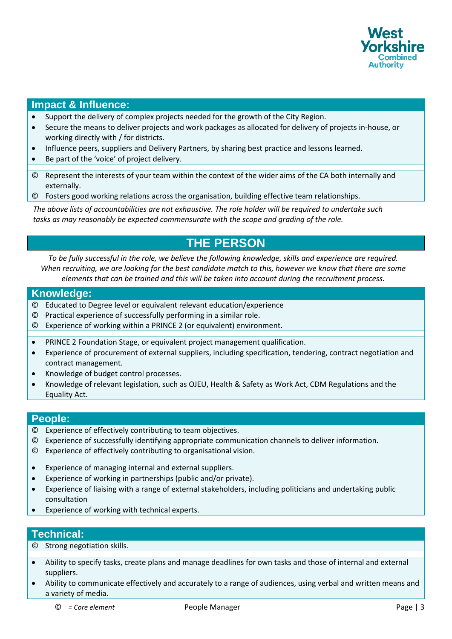

## **Impact & Influence:**

- Support the delivery of complex projects needed for the growth of the City Region.
- Secure the means to deliver projects and work packages as allocated for delivery of projects in-house, or working directly with / for districts.
- Influence peers, suppliers and Delivery Partners, by sharing best practice and lessons learned.
- Be part of the 'voice' of project delivery.
- © Represent the interests of your team within the context of the wider aims of the CA both internally and externally.
- © Fosters good working relations across the organisation, building effective team relationships.

*The above lists of accountabilities are not exhaustive. The role holder will be required to undertake such tasks as may reasonably be expected commensurate with the scope and grading of the role.* 

# **THE PERSON**

*To be fully successful in the role, we believe the following knowledge, skills and experience are required. When recruiting, we are looking for the best candidate match to this, however we know that there are some elements that can be trained and this will be taken into account during the recruitment process.*

#### **Knowledge:**

- © Educated to Degree level or equivalent relevant education/experience
- © Practical experience of successfully performing in a similar role.
- © Experience of working within a PRINCE 2 (or equivalent) environment.
- PRINCE 2 Foundation Stage, or equivalent project management qualification.
- Experience of procurement of external suppliers, including specification, tendering, contract negotiation and contract management.
- Knowledge of budget control processes.
- Knowledge of relevant legislation, such as OJEU, Health & Safety as Work Act, CDM Regulations and the Equality Act.

### **People:**

- © Experience of effectively contributing to team objectives.
- © Experience of successfully identifying appropriate communication channels to deliver information.
- © Experience of effectively contributing to organisational vision.
- Experience of managing internal and external suppliers.
- Experience of working in partnerships (public and/or private).
- Experience of liaising with a range of external stakeholders, including politicians and undertaking public consultation
- Experience of working with technical experts.

### **Technical:**

© Strong negotiation skills.

- Ability to specify tasks, create plans and manage deadlines for own tasks and those of internal and external suppliers.
- Ability to communicate effectively and accurately to a range of audiences, using verbal and written means and a variety of media.